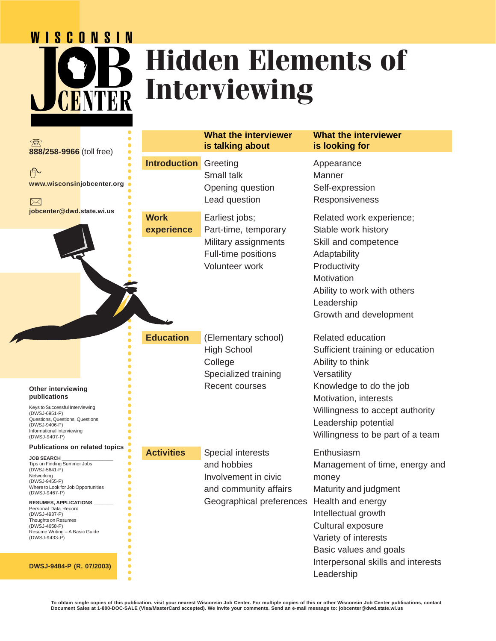# **WISCONSIN Hidden Elements of Interviewing** CENTER

| $\mathbb Z$<br>888/258-9966 (toll free)                                                                                                                                                                                                                                                                                                                                                                        |                           | <b>What the interviewer</b><br>is talking about                                                                                 | <b>What the interviewer</b><br>is looking for                                                                                                                                                                                                      |
|----------------------------------------------------------------------------------------------------------------------------------------------------------------------------------------------------------------------------------------------------------------------------------------------------------------------------------------------------------------------------------------------------------------|---------------------------|---------------------------------------------------------------------------------------------------------------------------------|----------------------------------------------------------------------------------------------------------------------------------------------------------------------------------------------------------------------------------------------------|
| 舟<br>www.wisconsinjobcenter.org<br>$\bowtie$                                                                                                                                                                                                                                                                                                                                                                   | <b>Introduction</b>       | Greeting<br>Small talk<br>Opening question<br>Lead question                                                                     | Appearance<br>Manner<br>Self-expression<br>Responsiveness                                                                                                                                                                                          |
| jobcenter@dwd.state.wi.us<br>$\bullet$                                                                                                                                                                                                                                                                                                                                                                         | <b>Work</b><br>experience | Earliest jobs;<br>Part-time, temporary<br>Military assignments<br>Full-time positions<br>Volunteer work                         | Related work experience;<br>Stable work history<br>Skill and competence<br>Adaptability<br>Productivity<br>Motivation<br>Ability to work with others<br>Leadership<br>Growth and development                                                       |
| <b>Other interviewing</b><br>publications<br>Keys to Successful Interviewing<br>(DWSJ-6951-P)<br>Questions, Questions, Questions<br>(DWSJ-9406-P)<br>Informational Interviewing<br>(DWSJ-9407-P)                                                                                                                                                                                                               | <b>Education</b>          | (Elementary school)<br><b>High School</b><br>College<br>Specialized training<br><b>Recent courses</b>                           | <b>Related education</b><br>Sufficient training or education<br>Ability to think<br>Versatility<br>Knowledge to do the job<br>Motivation, interests<br>Willingness to accept authority<br>Leadership potential<br>Willingness to be part of a team |
| <b>Publications on related topics</b><br><b>JOB SEARCH</b><br>Tips on Finding Summer Jobs<br>(DWSJ-5641-P)<br>Networking<br>(DWSJ-9455-P)<br>Where to Look for Job Opportunities<br>(DWSJ-9467-P)<br>RESUMES, APPLICATIONS ______<br>Personal Data Record<br>(DWSJ-4937-P)<br>Thoughts on Resumes<br>(DWSJ-4658-P)<br>Resume Writing - A Basic Guide<br>(DWSJ-9433-P)<br>DWSJ-9484-P (R. 07/2003)<br>$\bullet$ | <b>Activities</b>         | Special interests<br>and hobbies<br>Involvement in civic<br>and community affairs<br>Geographical preferences Health and energy | Enthusiasm<br>Management of time, energy and<br>money<br>Maturity and judgment<br>Intellectual growth<br>Cultural exposure<br>Variety of interests<br>Basic values and goals<br>Interpersonal skills and interests<br>Leadership                   |